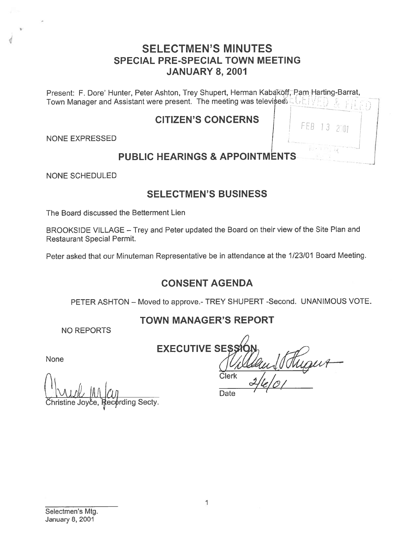## SELECTMEN'S MINUTES SPECIAL PRE-SPECIAL TOWN MEETING JANUARY 8, 2001

Present: F. Dore' Hunter, Peter Ashton, Trey Shupert, Herman Kabakoff, Pam Harting-Barrat, Town Manager and Assistant were present. The meeting was televised

### CITIZEN'S CONCERNS I

NONE EXPRESSED

# FFB

PUBLIC HEARINGS & APPOINTMENTS

NONE SCHEDULED

# SELECTMEN'S BUSINESS

The Board discussed the Betterment Lien

BROOKSIDE VILLAGE - Trey and Peter updated the Board on their view of the Site Plan and Restaurant Special Permit.

Peter asked that our Minuteman Representative be in attendance at the 1/23/01 Board Meeting.

# CONSENT AGENDA

PETER ASHTON - Moved to approve.- TREY SHUPERT - Second. UNANIMOUS VOTE.

# TOWN MANAGER'S REPORT

NO REPORTS

**EXECUTIVE SES** Clerk

Date

None

ding Secty.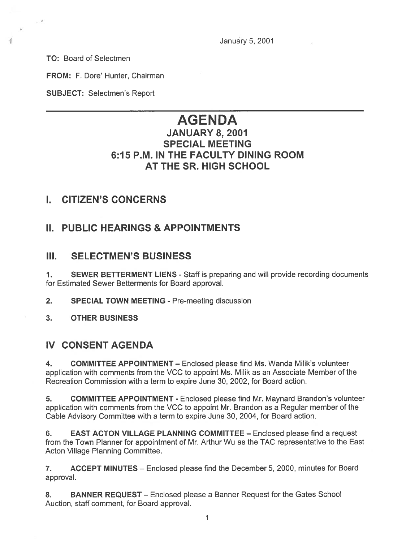January 5, 2001

TO: Board of Selectmen

 $\label{eq:psi} \psi$ 

₫

FROM: F. Dore' Hunter, Chairman

SUBJECT: Selectmen's Report

# AGENDA

### JANUARY 8, 2001 SPECIAL MEETING 6:15 P.M. IN THE FACULTY DINING ROOM AT THE SR. HIGH SCHOOL

## I. CITIZEN'S CONCERNS

## II. PUBLIC HEARINGS & APPOINTMENTS

### III. SELECTMEN'S BUSINESS

1. SEWER BETTERMENT LIENS - Staff is preparing and will provide recording documents for Estimated Sewer Betterments for Board approval.

- 2. SPECIAL TOWN MEETING Pre-meeting discussion
- 3. OTHER BUSINESS

### IV CONSENT AGENDA

4. COMMITTEE APPOINTMENT — Enclosed please find Ms. Wanda Milik's volunteer application with comments from the VCC to appoint Ms. Milik as an Associate Member of the Recreation Commission with <sup>a</sup> term to expire June 30, 2002, for Board action.

5. COMMITTEE APPOINTMENT - Enclosed please find Mr. Maynard Brandon's volunteer application with comments from the VCC to appoint Mr. Brandon as <sup>a</sup> Regular member of the Cable Advisory Committee with <sup>a</sup> term to expire June 30, 2004, for Board action.

6. EAST ACTON VILLAGE PLANNING COMMITTEE — Enclosed please find <sup>a</sup> reques<sup>t</sup> from the Town Planner for appointment of Mr. Arthur Wu as the TAC representative to the East Acton Village Planning Committee.

7. ACCEPT MINUTES — Enclosed please find the December 5, 2000, minutes for Board approval.

8. BANNER REQUEST - Enclosed please a Banner Request for the Gates School Auction, staff comment, for Board approval.